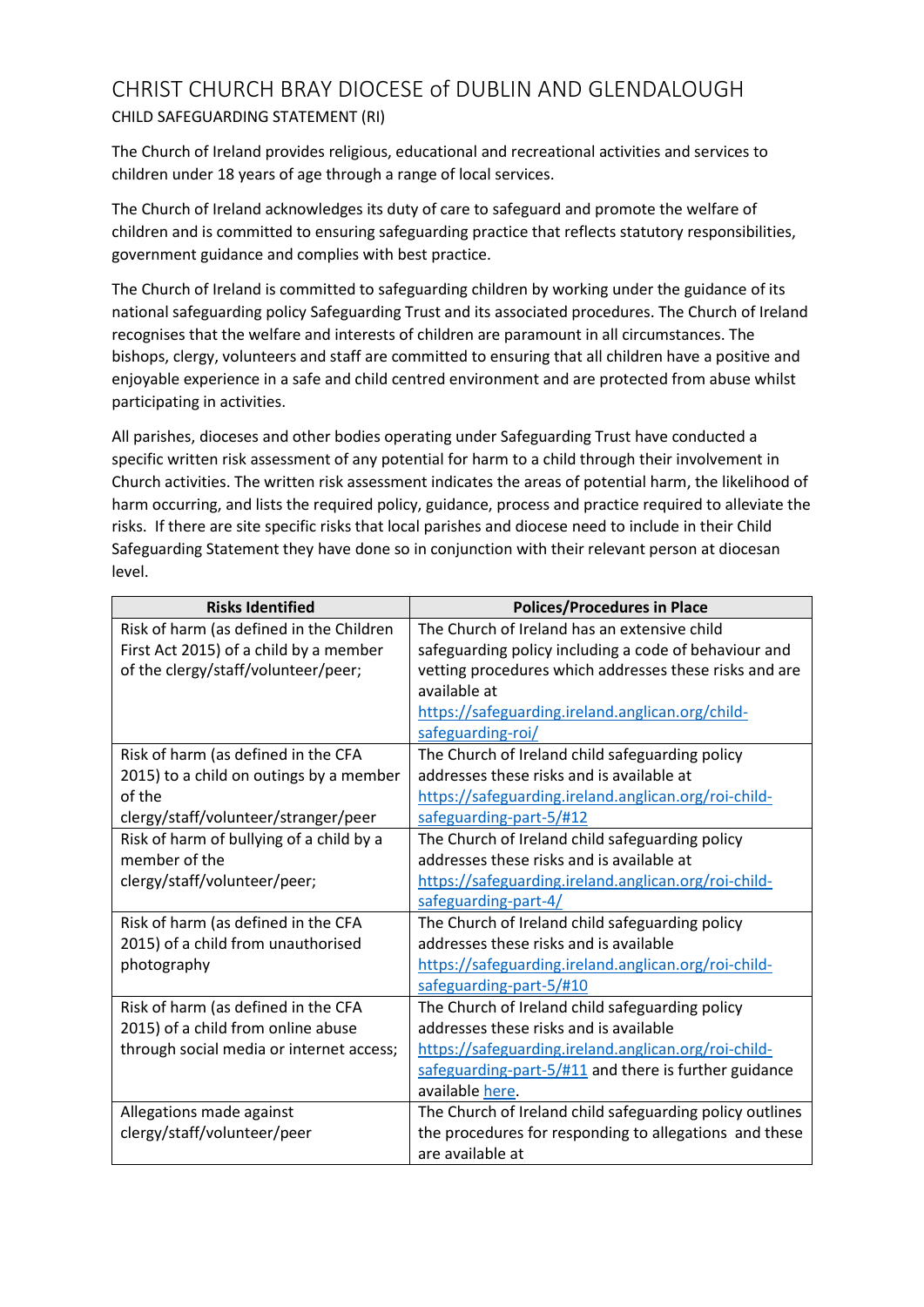## CHRIST CHURCH BRAY DIOCESE of DUBLIN AND GLENDALOUGH CHILD SAFEGUARDING STATEMENT (RI)

The Church of Ireland provides religious, educational and recreational activities and services to children under 18 years of age through a range of local services.

The Church of Ireland acknowledges its duty of care to safeguard and promote the welfare of children and is committed to ensuring safeguarding practice that reflects statutory responsibilities, government guidance and complies with best practice.

The Church of Ireland is committed to safeguarding children by working under the guidance of its national safeguarding policy Safeguarding Trust and its associated procedures. The Church of Ireland recognises that the welfare and interests of children are paramount in all circumstances. The bishops, clergy, volunteers and staff are committed to ensuring that all children have a positive and enjoyable experience in a safe and child centred environment and are protected from abuse whilst participating in activities.

All parishes, dioceses and other bodies operating under Safeguarding Trust have conducted a specific written risk assessment of any potential for harm to a child through their involvement in Church activities. The written risk assessment indicates the areas of potential harm, the likelihood of harm occurring, and lists the required policy, guidance, process and practice required to alleviate the risks. If there are site specific risks that local parishes and diocese need to include in their Child Safeguarding Statement they have done so in conjunction with their relevant person at diocesan level.

| <b>Risks Identified</b>                  | <b>Polices/Procedures in Place</b>                               |
|------------------------------------------|------------------------------------------------------------------|
| Risk of harm (as defined in the Children | The Church of Ireland has an extensive child                     |
| First Act 2015) of a child by a member   | safeguarding policy including a code of behaviour and            |
| of the clergy/staff/volunteer/peer;      | vetting procedures which addresses these risks and are           |
|                                          | available at                                                     |
|                                          | https://safeguarding.ireland.anglican.org/child-                 |
|                                          | safeguarding-roi/                                                |
| Risk of harm (as defined in the CFA      | The Church of Ireland child safeguarding policy                  |
| 2015) to a child on outings by a member  | addresses these risks and is available at                        |
| of the                                   | https://safeguarding.ireland.anglican.org/roi-child-             |
| clergy/staff/volunteer/stranger/peer     | safeguarding-part-5/#12                                          |
| Risk of harm of bullying of a child by a | The Church of Ireland child safeguarding policy                  |
| member of the                            | addresses these risks and is available at                        |
| clergy/staff/volunteer/peer;             | https://safeguarding.ireland.anglican.org/roi-child-             |
|                                          | safeguarding-part-4/                                             |
| Risk of harm (as defined in the CFA      | The Church of Ireland child safeguarding policy                  |
| 2015) of a child from unauthorised       | addresses these risks and is available                           |
| photography                              | https://safeguarding.ireland.anglican.org/roi-child-             |
|                                          | safeguarding-part-5/#10                                          |
| Risk of harm (as defined in the CFA      | The Church of Ireland child safeguarding policy                  |
| 2015) of a child from online abuse       | addresses these risks and is available                           |
| through social media or internet access; | https://safeguarding.ireland.anglican.org/roi-child-             |
|                                          | safeguarding-part- $5/\text{\#}11$ and there is further guidance |
|                                          | available here.                                                  |
| Allegations made against                 | The Church of Ireland child safeguarding policy outlines         |
| clergy/staff/volunteer/peer              | the procedures for responding to allegations and these           |
|                                          | are available at                                                 |